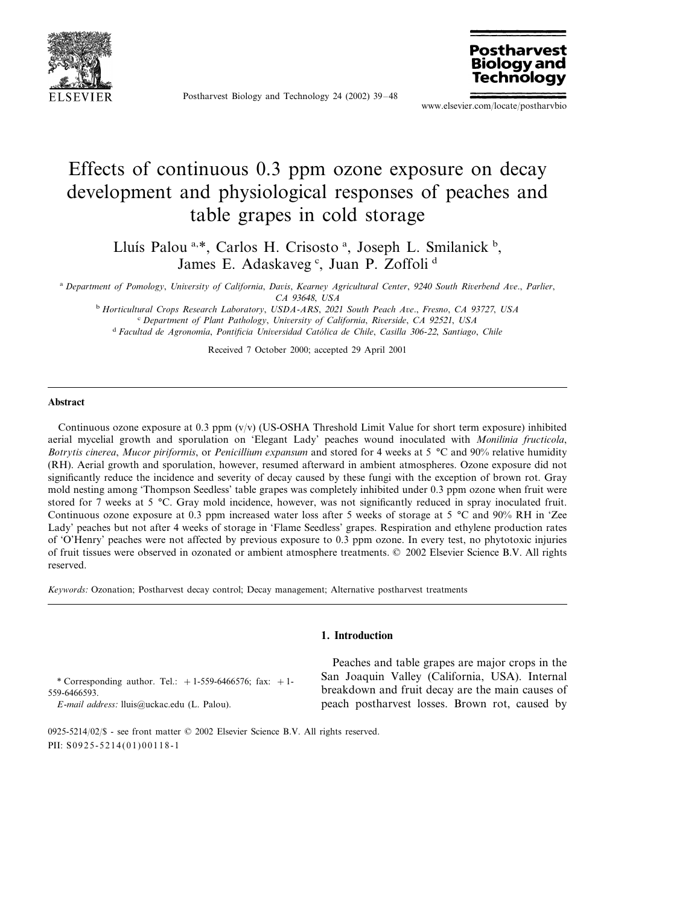

Postharvest Biology and Technology 24 (2002) 39–48



www.elsevier.com/locate/postharvbio

# Effects of continuous 0.3 ppm ozone exposure on decay development and physiological responses of peaches and table grapes in cold storage

Lluís Palou<sup>a,\*</sup>, Carlos H. Crisosto<sup>a</sup>, Joseph L. Smilanick<sup>b</sup>, James E. Adaskaveg <sup>c</sup>, Juan P. Zoffoli <sup>d</sup>

<sup>a</sup> *Department of Pomology*, *Uniersity of California*, *Dais*, *Kearney Agricultural Center*, <sup>9240</sup> *South Rierbend Ae*., *Parlier*, *CA* 93648, *USA*

<sup>b</sup> *Horticultural Crops Research Laboratory*, *USDA*-*ARS*, <sup>2021</sup> *South Peach Ae*., *Fresno*, *CA* <sup>93727</sup>, *USA* <sup>c</sup> *Department of Plant Pathology*, *Uniersity of California*, *Rierside*, *CA* <sup>92521</sup>, *USA* <sup>d</sup> Facultad de Agronomía, Pontificia Universidad Católica de Chile, Casilla 306-22, Santiago, Chile

Received 7 October 2000; accepted 29 April 2001

#### **Abstract**

Continuous ozone exposure at 0.3 ppm (v/v) (US-OSHA Threshold Limit Value for short term exposure) inhibited aerial mycelial growth and sporulation on 'Elegant Lady' peaches wound inoculated with *Monilinia fructicola*, *Botrytis cinerea*, *Mucor piriformis*, or *Penicillium expansum* and stored for 4 weeks at 5 °C and 90% relative humidity (RH). Aerial growth and sporulation, however, resumed afterward in ambient atmospheres. Ozone exposure did not significantly reduce the incidence and severity of decay caused by these fungi with the exception of brown rot. Gray mold nesting among 'Thompson Seedless' table grapes was completely inhibited under 0.3 ppm ozone when fruit were stored for 7 weeks at 5 °C. Gray mold incidence, however, was not significantly reduced in spray inoculated fruit. Continuous ozone exposure at 0.3 ppm increased water loss after 5 weeks of storage at 5 °C and 90% RH in 'Zee Lady' peaches but not after 4 weeks of storage in 'Flame Seedless' grapes. Respiration and ethylene production rates of 'O'Henry' peaches were not affected by previous exposure to 0.3 ppm ozone. In every test, no phytotoxic injuries of fruit tissues were observed in ozonated or ambient atmosphere treatments. © 2002 Elsevier Science B.V. All rights reserved.

*Keywords*: Ozonation; Postharvest decay control; Decay management; Alternative postharvest treatments

#### **1. Introduction**

\* Corresponding author. Tel.:  $+1-559-6466576$ ; fax:  $+1-$ 559-6466593.

*E*-*mail address*: [lluis@uckac.edu](mailto:lluis@uckac.edu) (L. Palou).

Peaches and table grapes are major crops in the San Joaquin Valley (California, USA). Internal breakdown and fruit decay are the main causes of peach postharvest losses. Brown rot, caused by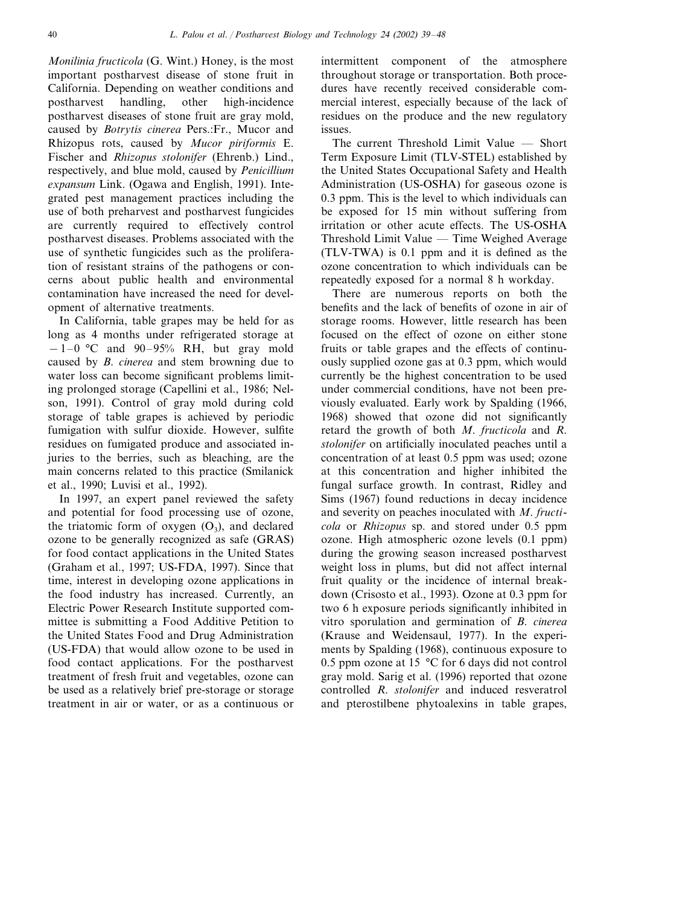*Monilinia fructicola* (G. Wint.) Honey, is the most important postharvest disease of stone fruit in California. Depending on weather conditions and postharvest handling, other high-incidence postharvest diseases of stone fruit are gray mold, caused by *Botrytis cinerea* Pers.:Fr., Mucor and Rhizopus rots, caused by *Mucor piriformis* E. Fischer and *Rhizopus stolonifer* (Ehrenb.) Lind., respectively, and blue mold, caused by *Penicillium expansum* Link. (Ogawa and English, 1991). Integrated pest management practices including the use of both preharvest and postharvest fungicides are currently required to effectively control postharvest diseases. Problems associated with the use of synthetic fungicides such as the proliferation of resistant strains of the pathogens or concerns about public health and environmental contamination have increased the need for development of alternative treatments.

In California, table grapes may be held for as long as 4 months under refrigerated storage at  $-1-0$  °C and 90–95% RH, but gray mold caused by *B*. *cinerea* and stem browning due to water loss can become significant problems limiting prolonged storage (Capellini et al., 1986; Nelson, 1991). Control of gray mold during cold storage of table grapes is achieved by periodic fumigation with sulfur dioxide. However, sulfite residues on fumigated produce and associated injuries to the berries, such as bleaching, are the main concerns related to this practice (Smilanick et al., 1990; Luvisi et al., 1992).

In 1997, an expert panel reviewed the safety and potential for food processing use of ozone, the triatomic form of oxygen  $(O_3)$ , and declared ozone to be generally recognized as safe (GRAS) for food contact applications in the United States (Graham et al., 1997; US-FDA, 1997). Since that time, interest in developing ozone applications in the food industry has increased. Currently, an Electric Power Research Institute supported committee is submitting a Food Additive Petition to the United States Food and Drug Administration (US-FDA) that would allow ozone to be used in food contact applications. For the postharvest treatment of fresh fruit and vegetables, ozone can be used as a relatively brief pre-storage or storage treatment in air or water, or as a continuous or intermittent component of the atmosphere throughout storage or transportation. Both procedures have recently received considerable commercial interest, especially because of the lack of residues on the produce and the new regulatory issues.

The current Threshold Limit Value — Short Term Exposure Limit (TLV-STEL) established by the United States Occupational Safety and Health Administration (US-OSHA) for gaseous ozone is 0.3 ppm. This is the level to which individuals can be exposed for 15 min without suffering from irritation or other acute effects. The US-OSHA Threshold Limit Value — Time Weighed Average (TLV-TWA) is 0.1 ppm and it is defined as the ozone concentration to which individuals can be repeatedly exposed for a normal 8 h workday.

There are numerous reports on both the benefits and the lack of benefits of ozone in air of storage rooms. However, little research has been focused on the effect of ozone on either stone fruits or table grapes and the effects of continuously supplied ozone gas at 0.3 ppm, which would currently be the highest concentration to be used under commercial conditions, have not been previously evaluated. Early work by Spalding (1966, 1968) showed that ozone did not significantly retard the growth of both *M*. *fructicola* and *R*. *stolonifer* on artificially inoculated peaches until a concentration of at least 0.5 ppm was used; ozone at this concentration and higher inhibited the fungal surface growth. In contrast, Ridley and Sims (1967) found reductions in decay incidence and severity on peaches inoculated with *M*. *fructicola* or *Rhizopus* sp. and stored under 0.5 ppm ozone. High atmospheric ozone levels (0.1 ppm) during the growing season increased postharvest weight loss in plums, but did not affect internal fruit quality or the incidence of internal breakdown (Crisosto et al., 1993). Ozone at 0.3 ppm for two 6 h exposure periods significantly inhibited in vitro sporulation and germination of *B*. *cinerea* (Krause and Weidensaul, 1977). In the experiments by Spalding (1968), continuous exposure to 0.5 ppm ozone at 15 °C for 6 days did not control gray mold. Sarig et al. (1996) reported that ozone controlled *R*. *stolonifer* and induced resveratrol and pterostilbene phytoalexins in table grapes,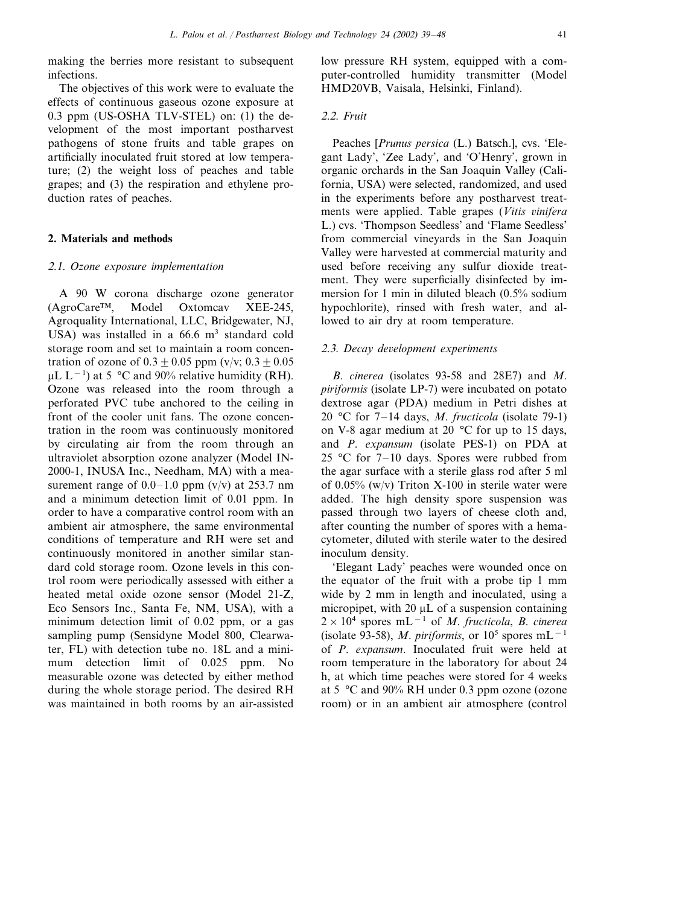making the berries more resistant to subsequent infections.

The objectives of this work were to evaluate the effects of continuous gaseous ozone exposure at 0.3 ppm (US-OSHA TLV-STEL) on: (1) the development of the most important postharvest pathogens of stone fruits and table grapes on artificially inoculated fruit stored at low temperature; (2) the weight loss of peaches and table grapes; and (3) the respiration and ethylene production rates of peaches.

#### **2. Materials and methods**

#### <sup>2</sup>.1. *Ozone exposure implementation*

A 90 W corona discharge ozone generator (AgroCare™, Model Oxtomcav XEE-245, Agroquality International, LLC, Bridgewater, NJ, USA) was installed in a  $66.6 \text{ m}^3$  standard cold storage room and set to maintain a room concentration of ozone of  $0.3 \pm 0.05$  ppm (v/v;  $0.3 \pm 0.05$ ) µL L<sup>-1</sup>) at 5 °C and 90% relative humidity (RH). Ozone was released into the room through a perforated PVC tube anchored to the ceiling in front of the cooler unit fans. The ozone concentration in the room was continuously monitored by circulating air from the room through an ultraviolet absorption ozone analyzer (Model IN-2000-1, INUSA Inc., Needham, MA) with a measurement range of  $0.0-1.0$  ppm (v/v) at 253.7 nm and a minimum detection limit of 0.01 ppm. In order to have a comparative control room with an ambient air atmosphere, the same environmental conditions of temperature and RH were set and continuously monitored in another similar standard cold storage room. Ozone levels in this control room were periodically assessed with either a heated metal oxide ozone sensor (Model 21-Z, Eco Sensors Inc., Santa Fe, NM, USA), with a minimum detection limit of 0.02 ppm, or a gas sampling pump (Sensidyne Model 800, Clearwater, FL) with detection tube no. 18L and a minimum detection limit of 0.025 ppm. No measurable ozone was detected by either method during the whole storage period. The desired RH was maintained in both rooms by an air-assisted

low pressure RH system, equipped with a computer-controlled humidity transmitter (Model HMD20VB, Vaisala, Helsinki, Finland).

#### <sup>2</sup>.2. *Fruit*

Peaches [*Prunus persica* (L.) Batsch.], cvs. 'Elegant Lady', 'Zee Lady', and 'O'Henry', grown in organic orchards in the San Joaquin Valley (California, USA) were selected, randomized, and used in the experiments before any postharvest treatments were applied. Table grapes (*Vitis inifera* L.) cvs. 'Thompson Seedless' and 'Flame Seedless' from commercial vineyards in the San Joaquin Valley were harvested at commercial maturity and used before receiving any sulfur dioxide treatment. They were superficially disinfected by immersion for 1 min in diluted bleach (0.5% sodium hypochlorite), rinsed with fresh water, and allowed to air dry at room temperature.

#### <sup>2</sup>.3. *Decay deelopment experiments*

*B*. *cinerea* (isolates 93-58 and 28E7) and *M*. *piriformis* (isolate LP-7) were incubated on potato dextrose agar (PDA) medium in Petri dishes at 20 °C for 7–14 days, *M*. *fructicola* (isolate 79-1) on V-8 agar medium at 20 °C for up to 15 days, and *P*. *expansum* (isolate PES-1) on PDA at 25 °C for  $7-10$  days. Spores were rubbed from the agar surface with a sterile glass rod after 5 ml of  $0.05\%$  (w/v) Triton X-100 in sterile water were added. The high density spore suspension was passed through two layers of cheese cloth and, after counting the number of spores with a hemacytometer, diluted with sterile water to the desired inoculum density.

'Elegant Lady' peaches were wounded once on the equator of the fruit with a probe tip 1 mm wide by 2 mm in length and inoculated, using a micropipet, with 20  $\mu$ L of a suspension containing 2×10<sup>4</sup> spores mL−<sup>1</sup> of *M*. *fructicola*, *B*. *cinerea* (isolate 93-58), *M. piriformis*, or  $10^5$  spores mL<sup>-1</sup> of *P*. *expansum*. Inoculated fruit were held at room temperature in the laboratory for about 24 h, at which time peaches were stored for 4 weeks at 5 °C and 90% RH under 0.3 ppm ozone (ozone room) or in an ambient air atmosphere (control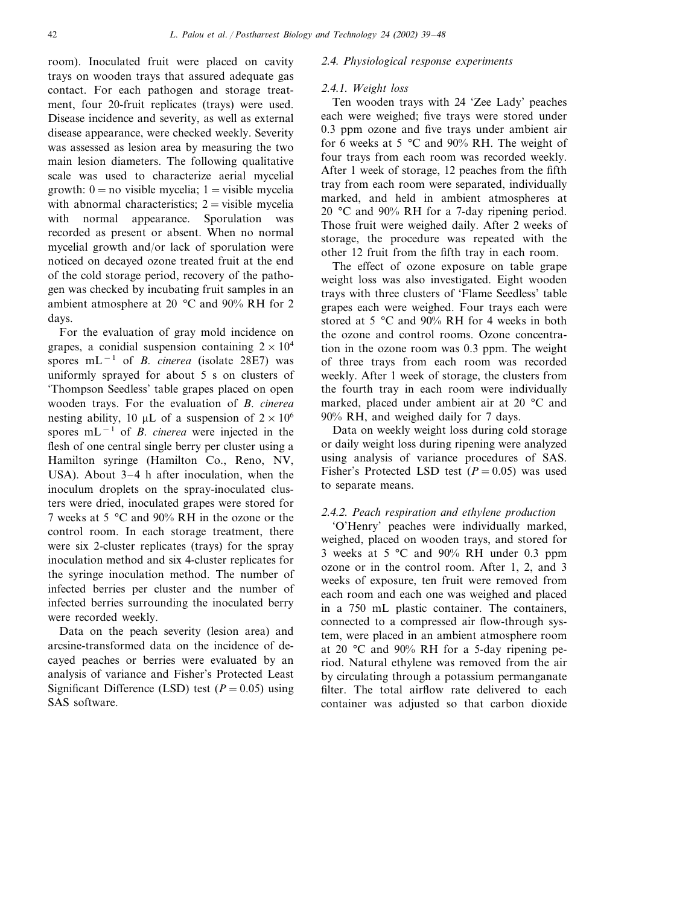room). Inoculated fruit were placed on cavity trays on wooden trays that assured adequate gas contact. For each pathogen and storage treatment, four 20-fruit replicates (trays) were used. Disease incidence and severity, as well as external disease appearance, were checked weekly. Severity was assessed as lesion area by measuring the two main lesion diameters. The following qualitative scale was used to characterize aerial mycelial growth:  $0 = no$  visible mycelia;  $1 = visible$  mycelia with abnormal characteristics;  $2 =$  visible mycelia with normal appearance. Sporulation was recorded as present or absent. When no normal mycelial growth and/or lack of sporulation were noticed on decayed ozone treated fruit at the end of the cold storage period, recovery of the pathogen was checked by incubating fruit samples in an ambient atmosphere at 20 °C and 90% RH for 2 days.

For the evaluation of gray mold incidence on grapes, a conidial suspension containing  $2 \times 10^4$ spores mL<sup>−</sup><sup>1</sup> of *B*. *cinerea* (isolate 28E7) was uniformly sprayed for about 5 s on clusters of 'Thompson Seedless' table grapes placed on open wooden trays. For the evaluation of *B*. *cinerea* nesting ability, 10  $\mu$ L of a suspension of  $2 \times 10^6$ spores mL<sup>−</sup><sup>1</sup> of *B*. *cinerea* were injected in the flesh of one central single berry per cluster using a Hamilton syringe (Hamilton Co., Reno, NV, USA). About 3–4 h after inoculation, when the inoculum droplets on the spray-inoculated clusters were dried, inoculated grapes were stored for 7 weeks at 5 °C and 90% RH in the ozone or the control room. In each storage treatment, there were six 2-cluster replicates (trays) for the spray inoculation method and six 4-cluster replicates for the syringe inoculation method. The number of infected berries per cluster and the number of infected berries surrounding the inoculated berry were recorded weekly.

Data on the peach severity (lesion area) and arcsine-transformed data on the incidence of decayed peaches or berries were evaluated by an analysis of variance and Fisher's Protected Least Significant Difference (LSD) test  $(P = 0.05)$  using SAS software.

# <sup>2</sup>.4. *Physiological response experiments*

#### <sup>2</sup>.4.1. *Weight loss*

Ten wooden trays with 24 'Zee Lady' peaches each were weighed; five trays were stored under 0.3 ppm ozone and five trays under ambient air for 6 weeks at 5 °C and 90% RH. The weight of four trays from each room was recorded weekly. After 1 week of storage, 12 peaches from the fifth tray from each room were separated, individually marked, and held in ambient atmospheres at 20 °C and 90% RH for a 7-day ripening period. Those fruit were weighed daily. After 2 weeks of storage, the procedure was repeated with the other 12 fruit from the fifth tray in each room.

The effect of ozone exposure on table grape weight loss was also investigated. Eight wooden trays with three clusters of 'Flame Seedless' table grapes each were weighed. Four trays each were stored at 5 °C and 90% RH for 4 weeks in both the ozone and control rooms. Ozone concentration in the ozone room was 0.3 ppm. The weight of three trays from each room was recorded weekly. After 1 week of storage, the clusters from the fourth tray in each room were individually marked, placed under ambient air at 20 °C and 90% RH, and weighed daily for 7 days.

Data on weekly weight loss during cold storage or daily weight loss during ripening were analyzed using analysis of variance procedures of SAS. Fisher's Protected LSD test  $(P = 0.05)$  was used to separate means.

# <sup>2</sup>.4.2. *Peach respiration and ethylene production*

'O'Henry' peaches were individually marked, weighed, placed on wooden trays, and stored for 3 weeks at 5 °C and 90% RH under 0.3 ppm ozone or in the control room. After 1, 2, and 3 weeks of exposure, ten fruit were removed from each room and each one was weighed and placed in a 750 mL plastic container. The containers, connected to a compressed air flow-through system, were placed in an ambient atmosphere room at 20 °C and 90% RH for a 5-day ripening period. Natural ethylene was removed from the air by circulating through a potassium permanganate filter. The total airflow rate delivered to each container was adjusted so that carbon dioxide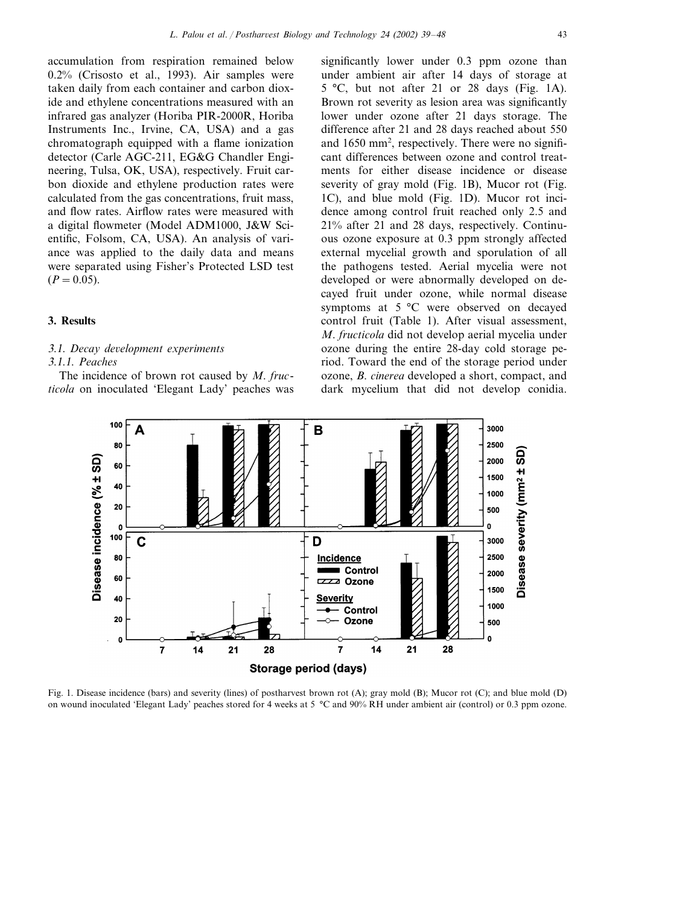accumulation from respiration remained below 0.2% (Crisosto et al., 1993). Air samples were taken daily from each container and carbon dioxide and ethylene concentrations measured with an infrared gas analyzer (Horiba PIR-2000R, Horiba Instruments Inc., Irvine, CA, USA) and a gas chromatograph equipped with a flame ionization detector (Carle AGC-211, EG&G Chandler Engineering, Tulsa, OK, USA), respectively. Fruit carbon dioxide and ethylene production rates were calculated from the gas concentrations, fruit mass, and flow rates. Airflow rates were measured with a digital flowmeter (Model ADM1000, J&W Scientific, Folsom, CA, USA). An analysis of variance was applied to the daily data and means were separated using Fisher's Protected LSD test  $(P=0.05)$ .

#### **3. Results**

# <sup>3</sup>.1. *Decay deelopment experiments*

## 3.1.1. *Peaches*

The incidence of brown rot caused by *M*. *fructicola* on inoculated 'Elegant Lady' peaches was significantly lower under 0.3 ppm ozone than under ambient air after 14 days of storage at 5 °C, but not after 21 or 28 days (Fig. 1A). Brown rot severity as lesion area was significantly lower under ozone after 21 days storage. The difference after 21 and 28 days reached about 550 and 1650 mm<sup>2</sup>, respectively. There were no significant differences between ozone and control treatments for either disease incidence or disease severity of gray mold (Fig. 1B), Mucor rot (Fig. 1C), and blue mold (Fig. 1D). Mucor rot incidence among control fruit reached only 2.5 and 21% after 21 and 28 days, respectively. Continuous ozone exposure at 0.3 ppm strongly affected external mycelial growth and sporulation of all the pathogens tested. Aerial mycelia were not developed or were abnormally developed on decayed fruit under ozone, while normal disease symptoms at 5 °C were observed on decayed control fruit (Table 1). After visual assessment, *M*. *fructicola* did not develop aerial mycelia under ozone during the entire 28-day cold storage period. Toward the end of the storage period under ozone, *B*. *cinerea* developed a short, compact, and dark mycelium that did not develop conidia.



Fig. 1. Disease incidence (bars) and severity (lines) of postharvest brown rot (A); gray mold (B); Mucor rot (C); and blue mold (D) on wound inoculated 'Elegant Lady' peaches stored for 4 weeks at 5 °C and 90% RH under ambient air (control) or 0.3 ppm ozone.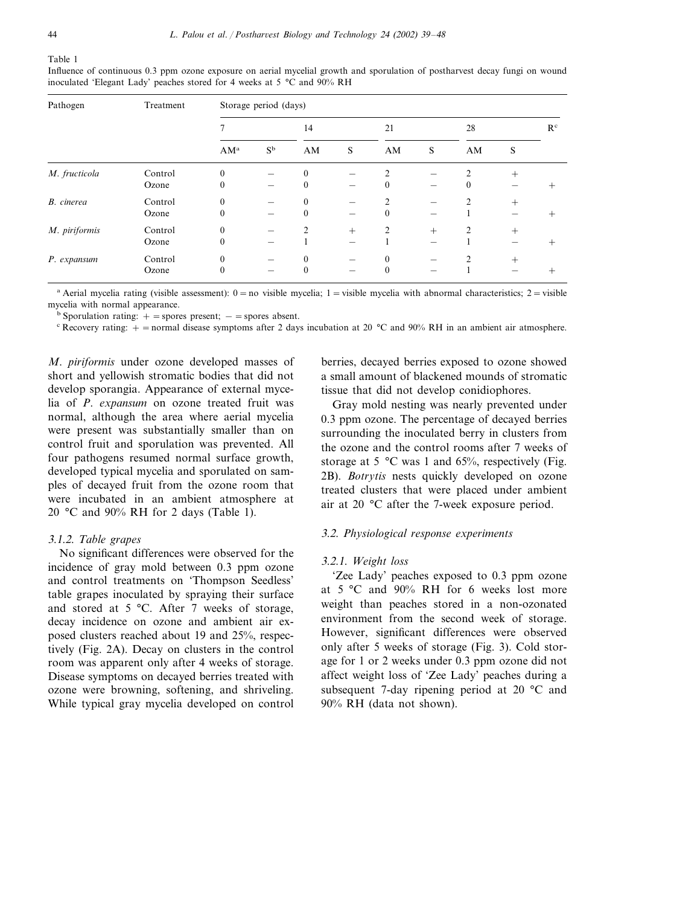| Pathogen      | Treatment | Storage period (days) |             |                |        |                |     |                |                |                |
|---------------|-----------|-----------------------|-------------|----------------|--------|----------------|-----|----------------|----------------|----------------|
|               |           |                       |             | 14             |        | 21             |     | 28             |                | R <sup>c</sup> |
|               |           | $AM^a$                | $S^{\rm b}$ | AM             | S      | AM             | S   | AM             | S              |                |
| M. fructicola | Control   | $\theta$              |             | $\theta$       |        | $\mathfrak{D}$ |     | $\mathfrak{D}$ | $+$            |                |
|               | Ozone     | $\mathbf{0}$          |             | $\mathbf{0}$   |        | $\mathbf{0}$   |     | $\theta$       |                |                |
| B. cinerea    | Control   | $\mathbf{0}$          |             | $\theta$       |        | $\mathfrak{D}$ |     |                | $^{+}$         |                |
|               | Ozone     | $\Omega$              | —           | $\mathbf{0}$   | –      | $\mathbf{0}$   |     |                |                |                |
| M. piriformis | Control   | $\mathbf{0}$          |             | $\mathfrak{D}$ | $^{+}$ | $\overline{2}$ | $+$ | 2              | $^{+}$         |                |
|               | Ozone     | $\mathbf{0}$          |             |                |        |                |     |                |                |                |
| P. expansum   | Control   | $\mathbf{0}$          |             | $\theta$       |        | $\mathbf{0}$   |     |                | $\overline{+}$ |                |
|               | Ozone     | $\theta$              |             | $\theta$       | –      | $\theta$       |     |                |                | $^+$           |

Influence of continuous 0.3 ppm ozone exposure on aerial mycelial growth and sporulation of postharvest decay fungi on wound inoculated 'Elegant Lady' peaches stored for 4 weeks at 5 °C and 90% RH

<sup>a</sup> Aerial mycelia rating (visible assessment):  $0 = no$  visible mycelia;  $1 = visible$  mycelia with abnormal characteristics;  $2 = visible$ mycelia with normal appearance.

<sup>b</sup> Sporulation rating:  $+$  = spores present;  $-$  = spores absent.

<sup>c</sup> Recovery rating:  $+$  = normal disease symptoms after 2 days incubation at 20 °C and 90% RH in an ambient air atmosphere.

*M*. *piriformis* under ozone developed masses of short and yellowish stromatic bodies that did not develop sporangia. Appearance of external mycelia of *P*. *expansum* on ozone treated fruit was normal, although the area where aerial mycelia were present was substantially smaller than on control fruit and sporulation was prevented. All four pathogens resumed normal surface growth, developed typical mycelia and sporulated on samples of decayed fruit from the ozone room that were incubated in an ambient atmosphere at 20 °C and 90% RH for 2 days (Table 1).

## 3.1.2. *Table grapes*

No significant differences were observed for the incidence of gray mold between 0.3 ppm ozone and control treatments on 'Thompson Seedless' table grapes inoculated by spraying their surface and stored at 5 °C. After 7 weeks of storage, decay incidence on ozone and ambient air exposed clusters reached about 19 and 25%, respectively (Fig. 2A). Decay on clusters in the control room was apparent only after 4 weeks of storage. Disease symptoms on decayed berries treated with ozone were browning, softening, and shriveling. While typical gray mycelia developed on control

berries, decayed berries exposed to ozone showed a small amount of blackened mounds of stromatic tissue that did not develop conidiophores.

Gray mold nesting was nearly prevented under 0.3 ppm ozone. The percentage of decayed berries surrounding the inoculated berry in clusters from the ozone and the control rooms after 7 weeks of storage at 5 °C was 1 and 65%, respectively (Fig. 2B). *Botrytis* nests quickly developed on ozone treated clusters that were placed under ambient air at 20 °C after the 7-week exposure period.

## 3.2. *Physiological response experiments*

## 3.2.1. *Weight loss*

'Zee Lady' peaches exposed to 0.3 ppm ozone at 5 °C and 90% RH for 6 weeks lost more weight than peaches stored in a non-ozonated environment from the second week of storage. However, significant differences were observed only after 5 weeks of storage (Fig. 3). Cold storage for 1 or 2 weeks under 0.3 ppm ozone did not affect weight loss of 'Zee Lady' peaches during a subsequent 7-day ripening period at 20 °C and 90% RH (data not shown).

Table 1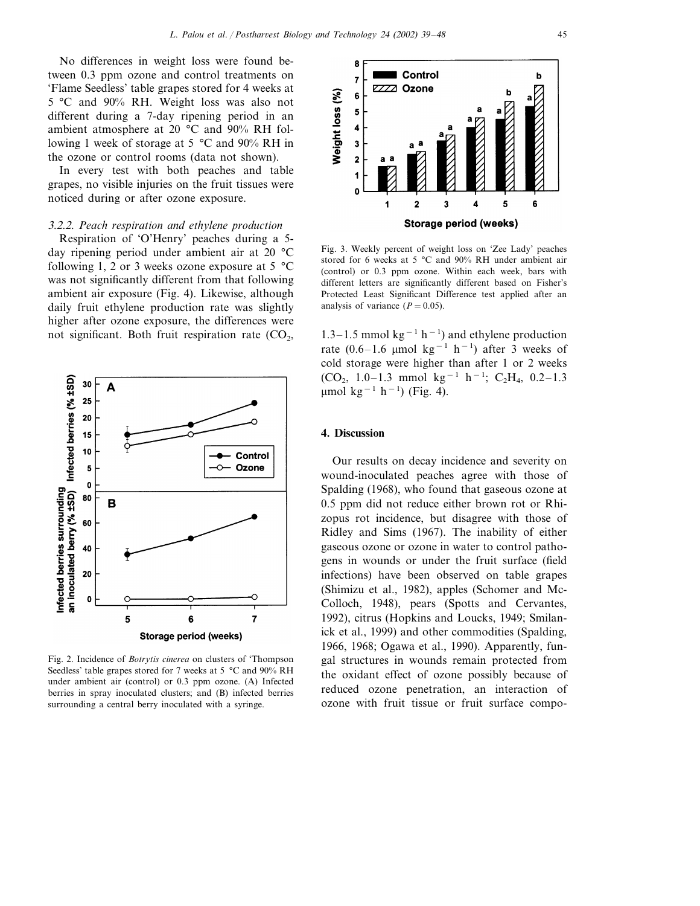No differences in weight loss were found between 0.3 ppm ozone and control treatments on 'Flame Seedless' table grapes stored for 4 weeks at 5 °C and 90% RH. Weight loss was also not different during a 7-day ripening period in an ambient atmosphere at 20 °C and 90% RH following 1 week of storage at 5 °C and 90% RH in the ozone or control rooms (data not shown).

In every test with both peaches and table grapes, no visible injuries on the fruit tissues were noticed during or after ozone exposure.

#### 3.2.2. *Peach respiration and ethylene production*

Respiration of 'O'Henry' peaches during a 5 day ripening period under ambient air at 20 °C following 1, 2 or 3 weeks ozone exposure at 5  $^{\circ}$ C was not significantly different from that following ambient air exposure (Fig. 4). Likewise, although daily fruit ethylene production rate was slightly higher after ozone exposure, the differences were not significant. Both fruit respiration rate  $(CO<sub>2</sub>)$ ,



Fig. 2. Incidence of *Botrytis cinerea* on clusters of 'Thompson Seedless' table grapes stored for 7 weeks at 5 °C and 90% RH under ambient air (control) or 0.3 ppm ozone. (A) Infected berries in spray inoculated clusters; and (B) infected berries surrounding a central berry inoculated with a syringe.



Fig. 3. Weekly percent of weight loss on 'Zee Lady' peaches stored for 6 weeks at 5 °C and 90% RH under ambient air (control) or 0.3 ppm ozone. Within each week, bars with different letters are significantly different based on Fisher's Protected Least Significant Difference test applied after an analysis of variance  $(P = 0.05)$ .

1.3–1.5 mmol kg<sup>-1</sup> h<sup>-1</sup>) and ethylene production rate (0.6–1.6 µmol kg<sup>-1</sup> h<sup>-1</sup>) after 3 weeks of cold storage were higher than after 1 or 2 weeks  $(CO_2, 1.0-1.3$  mmol kg<sup>-1</sup> h<sup>-1</sup>; C<sub>2</sub>H<sub>4</sub>, 0.2-1.3 µmol kg<sup>-1</sup> h<sup>-1</sup>) (Fig. 4).

#### **4. Discussion**

Our results on decay incidence and severity on wound-inoculated peaches agree with those of Spalding (1968), who found that gaseous ozone at 0.5 ppm did not reduce either brown rot or Rhizopus rot incidence, but disagree with those of Ridley and Sims (1967). The inability of either gaseous ozone or ozone in water to control pathogens in wounds or under the fruit surface (field infections) have been observed on table grapes (Shimizu et al., 1982), apples (Schomer and Mc-Colloch, 1948), pears (Spotts and Cervantes, 1992), citrus (Hopkins and Loucks, 1949; Smilanick et al., 1999) and other commodities (Spalding, 1966, 1968; Ogawa et al., 1990). Apparently, fungal structures in wounds remain protected from the oxidant effect of ozone possibly because of reduced ozone penetration, an interaction of ozone with fruit tissue or fruit surface compo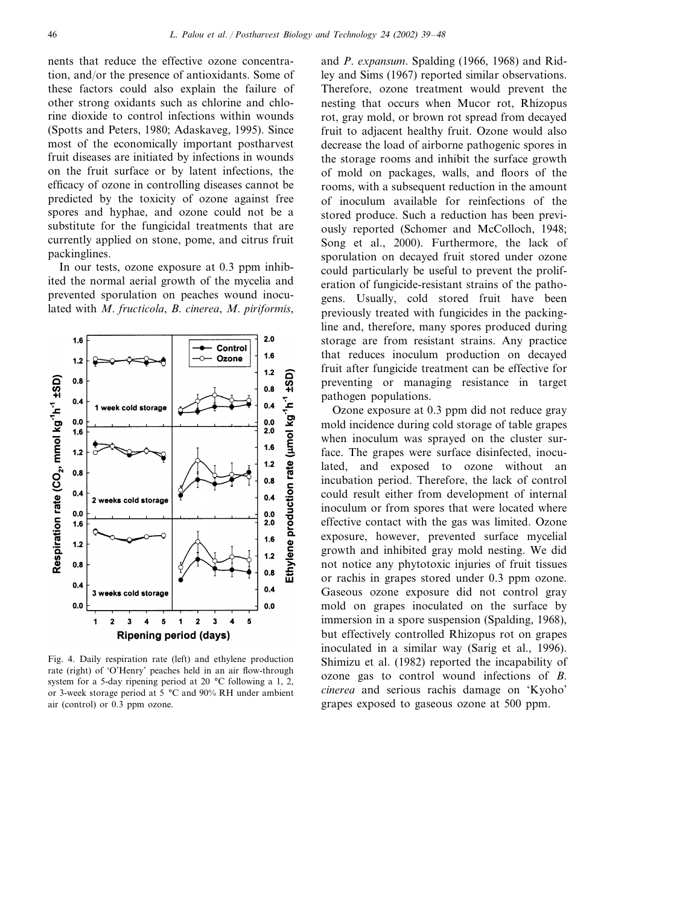nents that reduce the effective ozone concentration, and/or the presence of antioxidants. Some of these factors could also explain the failure of other strong oxidants such as chlorine and chlorine dioxide to control infections within wounds (Spotts and Peters, 1980; Adaskaveg, 1995). Since most of the economically important postharvest fruit diseases are initiated by infections in wounds on the fruit surface or by latent infections, the efficacy of ozone in controlling diseases cannot be predicted by the toxicity of ozone against free spores and hyphae, and ozone could not be a substitute for the fungicidal treatments that are currently applied on stone, pome, and citrus fruit packinglines.

In our tests, ozone exposure at 0.3 ppm inhibited the normal aerial growth of the mycelia and prevented sporulation on peaches wound inoculated with *M*. *fructicola*, *B*. *cinerea*, *M*. *piriformis*,



Fig. 4. Daily respiration rate (left) and ethylene production rate (right) of 'O'Henry' peaches held in an air flow-through system for a 5-day ripening period at 20 °C following a 1, 2, or 3-week storage period at 5 °C and 90% RH under ambient air (control) or 0.3 ppm ozone.

and *P*. *expansum*. Spalding (1966, 1968) and Ridley and Sims (1967) reported similar observations. Therefore, ozone treatment would prevent the nesting that occurs when Mucor rot, Rhizopus rot, gray mold, or brown rot spread from decayed fruit to adjacent healthy fruit. Ozone would also decrease the load of airborne pathogenic spores in the storage rooms and inhibit the surface growth of mold on packages, walls, and floors of the rooms, with a subsequent reduction in the amount of inoculum available for reinfections of the stored produce. Such a reduction has been previously reported (Schomer and McColloch, 1948; Song et al., 2000). Furthermore, the lack of sporulation on decayed fruit stored under ozone could particularly be useful to prevent the proliferation of fungicide-resistant strains of the pathogens. Usually, cold stored fruit have been previously treated with fungicides in the packingline and, therefore, many spores produced during storage are from resistant strains. Any practice that reduces inoculum production on decayed fruit after fungicide treatment can be effective for preventing or managing resistance in target pathogen populations.

Ozone exposure at 0.3 ppm did not reduce gray mold incidence during cold storage of table grapes when inoculum was sprayed on the cluster surface. The grapes were surface disinfected, inoculated, and exposed to ozone without an incubation period. Therefore, the lack of control could result either from development of internal inoculum or from spores that were located where effective contact with the gas was limited. Ozone exposure, however, prevented surface mycelial growth and inhibited gray mold nesting. We did not notice any phytotoxic injuries of fruit tissues or rachis in grapes stored under 0.3 ppm ozone. Gaseous ozone exposure did not control gray mold on grapes inoculated on the surface by immersion in a spore suspension (Spalding, 1968), but effectively controlled Rhizopus rot on grapes inoculated in a similar way (Sarig et al., 1996). Shimizu et al. (1982) reported the incapability of ozone gas to control wound infections of *B*. *cinerea* and serious rachis damage on 'Kyoho' grapes exposed to gaseous ozone at 500 ppm.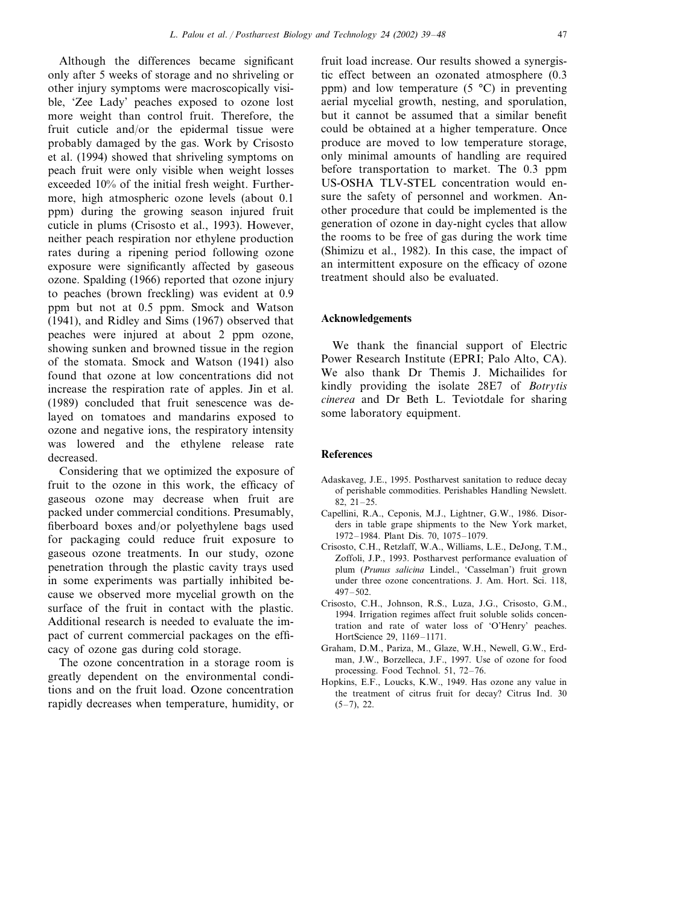Although the differences became significant only after 5 weeks of storage and no shriveling or other injury symptoms were macroscopically visible, 'Zee Lady' peaches exposed to ozone lost more weight than control fruit. Therefore, the fruit cuticle and/or the epidermal tissue were probably damaged by the gas. Work by Crisosto et al. (1994) showed that shriveling symptoms on peach fruit were only visible when weight losses exceeded 10% of the initial fresh weight. Furthermore, high atmospheric ozone levels (about 0.1 ppm) during the growing season injured fruit cuticle in plums (Crisosto et al., 1993). However, neither peach respiration nor ethylene production rates during a ripening period following ozone exposure were significantly affected by gaseous ozone. Spalding (1966) reported that ozone injury to peaches (brown freckling) was evident at 0.9 ppm but not at 0.5 ppm. Smock and Watson (1941), and Ridley and Sims (1967) observed that peaches were injured at about 2 ppm ozone, showing sunken and browned tissue in the region of the stomata. Smock and Watson (1941) also found that ozone at low concentrations did not increase the respiration rate of apples. Jin et al. (1989) concluded that fruit senescence was delayed on tomatoes and mandarins exposed to ozone and negative ions, the respiratory intensity was lowered and the ethylene release rate decreased.

Considering that we optimized the exposure of fruit to the ozone in this work, the efficacy of gaseous ozone may decrease when fruit are packed under commercial conditions. Presumably, fiberboard boxes and/or polyethylene bags used for packaging could reduce fruit exposure to gaseous ozone treatments. In our study, ozone penetration through the plastic cavity trays used in some experiments was partially inhibited because we observed more mycelial growth on the surface of the fruit in contact with the plastic. Additional research is needed to evaluate the impact of current commercial packages on the efficacy of ozone gas during cold storage.

The ozone concentration in a storage room is greatly dependent on the environmental conditions and on the fruit load. Ozone concentration rapidly decreases when temperature, humidity, or fruit load increase. Our results showed a synergistic effect between an ozonated atmosphere (0.3 ppm) and low temperature  $(5 \degree C)$  in preventing aerial mycelial growth, nesting, and sporulation, but it cannot be assumed that a similar benefit could be obtained at a higher temperature. Once produce are moved to low temperature storage, only minimal amounts of handling are required before transportation to market. The 0.3 ppm US-OSHA TLV-STEL concentration would ensure the safety of personnel and workmen. Another procedure that could be implemented is the generation of ozone in day-night cycles that allow the rooms to be free of gas during the work time (Shimizu et al., 1982). In this case, the impact of an intermittent exposure on the efficacy of ozone treatment should also be evaluated.

#### **Acknowledgements**

We thank the financial support of Electric Power Research Institute (EPRI; Palo Alto, CA). We also thank Dr Themis J. Michailides for kindly providing the isolate 28E7 of *Botrytis cinerea* and Dr Beth L. Teviotdale for sharing some laboratory equipment.

## **References**

- Adaskaveg, J.E., 1995. Postharvest sanitation to reduce decay of perishable commodities. Perishables Handling Newslett. 82, 21–25.
- Capellini, R.A., Ceponis, M.J., Lightner, G.W., 1986. Disorders in table grape shipments to the New York market, 1972–1984. Plant Dis. 70, 1075–1079.
- Crisosto, C.H., Retzlaff, W.A., Williams, L.E., DeJong, T.M., Zoffoli, J.P., 1993. Postharvest performance evaluation of plum (*Prunus salicina* Lindel., 'Casselman') fruit grown under three ozone concentrations. J. Am. Hort. Sci. 118, 497–502.
- Crisosto, C.H., Johnson, R.S., Luza, J.G., Crisosto, G.M., 1994. Irrigation regimes affect fruit soluble solids concentration and rate of water loss of 'O'Henry' peaches. HortScience 29, 1169–1171.
- Graham, D.M., Pariza, M., Glaze, W.H., Newell, G.W., Erdman, J.W., Borzelleca, J.F., 1997. Use of ozone for food processing. Food Technol. 51, 72–76.
- Hopkins, E.F., Loucks, K.W., 1949. Has ozone any value in the treatment of citrus fruit for decay? Citrus Ind. 30  $(5-7)$ , 22.